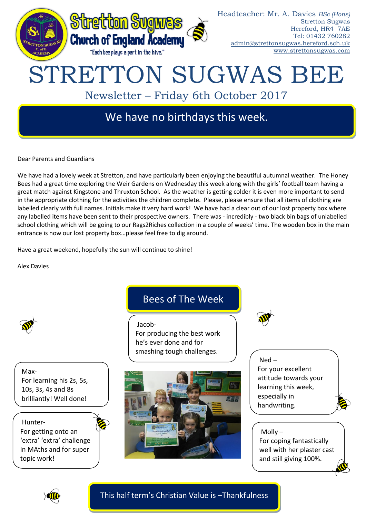

Dear Parents and Guardians

We have had a lovely week at Stretton, and have particularly been enjoying the beautiful autumnal weather. The Honey Bees had a great time exploring the Weir Gardens on Wednesday this week along with the girls' football team having a great match against Kingstone and Thruxton School. As the weather is getting colder it is even more important to send in the appropriate clothing for the activities the children complete. Please, please ensure that all items of clothing are labelled clearly with full names. Initials make it very hard work! We have had a clear out of our lost property box where any labelled items have been sent to their prospective owners. There was - incredibly - two black bin bags of unlabelled school clothing which will be going to our Rags2Riches collection in a couple of weeks' time. The wooden box in the main entrance is now our lost property box…please feel free to dig around.

Have a great weekend, hopefully the sun will continue to shine!

Alex Davies



Max-For learning his 2s, 5s, 10s, 3s, 4s and 8s brilliantly! Well done!

Hunter-For getting onto an 'extra' 'extra' challenge in MAths and for super topic work!

# Bees of The Week

Jacob-For producing the best work he's ever done and for smashing tough challenges.



Ned – For your excellent attitude towards your learning this week, especially in handwriting.

For coping fantastically well with her plaster cast and still giving 100%.



Molly –